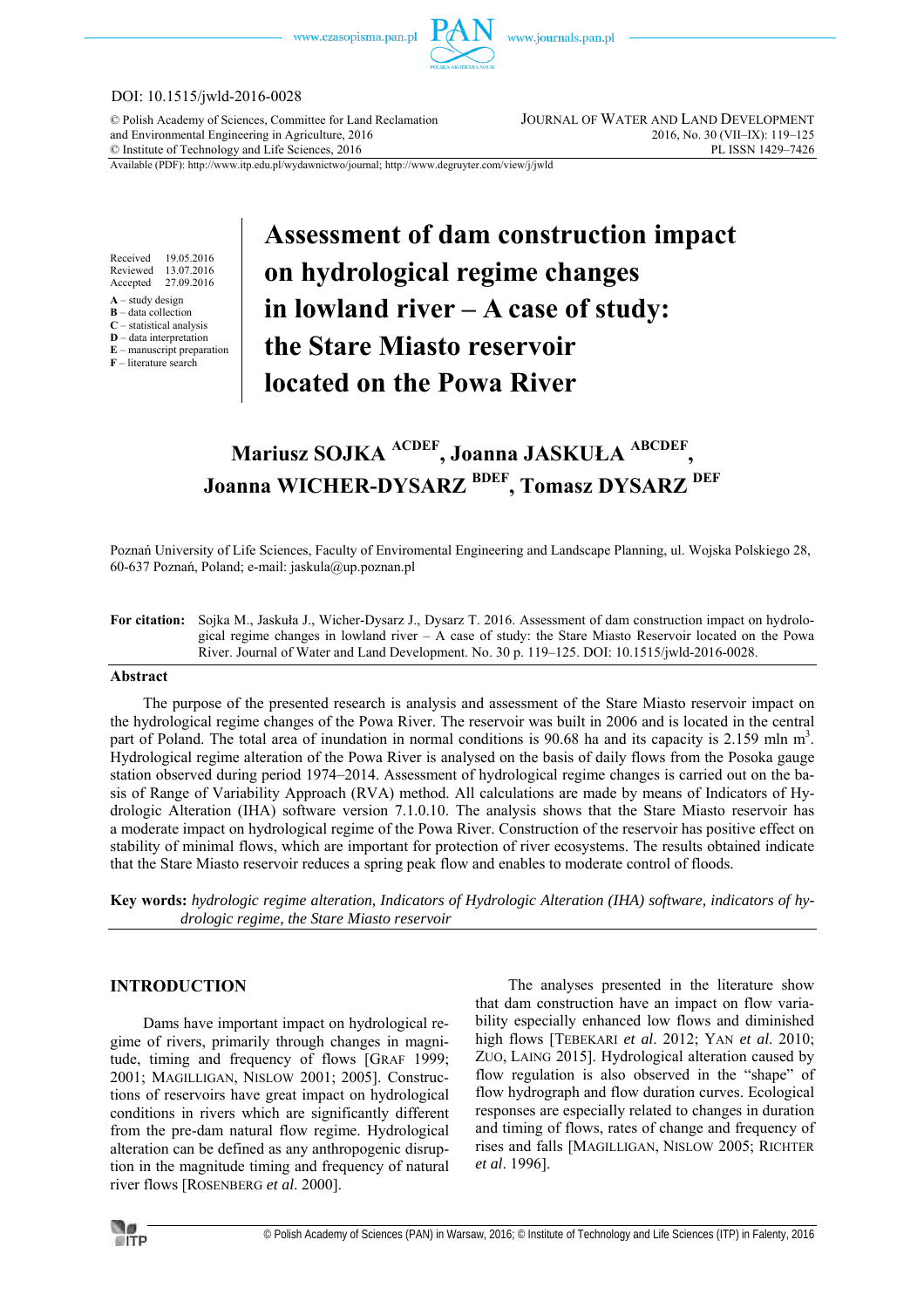

## DOI: 10.1515/jwld-2016-0028

© Polish Academy of Sciences, Committee for Land Reclamation JOURNAL OF WATER AND LAND DEVELOPMENT and Environmental Engineering in Agriculture, 2016<br>
© Institute of Technology and Life Sciences, 2016<br>
2016, No. 30 (VII–IX): 119–125<br>
PL ISSN 1429–7426  $©$  Institute of Technology and Life Sciences, 2016

Available (PDF): http://www.itp.edu.pl/wydawnictwo/journal; http://www.degruyter.com/view/j/jwld

Received 19.05.2016<br>Reviewed 13.07.2016 13.07.2016 Accepted 27.09.2016

**A** – study design

**B** – data collection

**C** – statistical analysis

**D** – data interpretation **E** – manuscript preparation

**F** – literature search

# **Assessment of dam construction impact on hydrological regime changes in lowland river – A case of study: the Stare Miasto reservoir located on the Powa River**

# **Mariusz SOJKA ACDEF, Joanna JASKUŁA ABCDEF , Joanna WICHER-DYSARZ BDEF, Tomasz DYSARZ DEF**

Poznań University of Life Sciences, Faculty of Enviromental Engineering and Landscape Planning, ul. Wojska Polskiego 28, 60-637 Poznań, Poland; e-mail: jaskula@up.poznan.pl

**For citation:** Sojka M., Jaskuła J., Wicher-Dysarz J., Dysarz T. 2016. Assessment of dam construction impact on hydrological regime changes in lowland river – A case of study: the Stare Miasto Reservoir located on the Powa River. Journal of Water and Land Development. No. 30 p. 119–125. DOI: 10.1515/jwld-2016-0028.

#### **Abstract**

The purpose of the presented research is analysis and assessment of the Stare Miasto reservoir impact on the hydrological regime changes of the Powa River. The reservoir was built in 2006 and is located in the central part of Poland. The total area of inundation in normal conditions is 90.68 ha and its capacity is 2.159 mln m<sup>3</sup>. Hydrological regime alteration of the Powa River is analysed on the basis of daily flows from the Posoka gauge station observed during period 1974–2014. Assessment of hydrological regime changes is carried out on the basis of Range of Variability Approach (RVA) method. All calculations are made by means of Indicators of Hydrologic Alteration (IHA) software version 7.1.0.10. The analysis shows that the Stare Miasto reservoir has a moderate impact on hydrological regime of the Powa River. Construction of the reservoir has positive effect on stability of minimal flows, which are important for protection of river ecosystems. The results obtained indicate that the Stare Miasto reservoir reduces a spring peak flow and enables to moderate control of floods.

**Key words:** *hydrologic regime alteration, Indicators of Hydrologic Alteration (IHA) software, indicators of hydrologic regime, the Stare Miasto reservoir* 

## **INTRODUCTION**

Dams have important impact on hydrological regime of rivers, primarily through changes in magnitude, timing and frequency of flows [GRAF 1999; 2001; MAGILLIGAN, NISLOW 2001; 2005]. Constructions of reservoirs have great impact on hydrological conditions in rivers which are significantly different from the pre-dam natural flow regime. Hydrological alteration can be defined as any anthropogenic disruption in the magnitude timing and frequency of natural river flows [ROSENBERG *et al*. 2000].

The analyses presented in the literature show that dam construction have an impact on flow variability especially enhanced low flows and diminished high flows [TEBEKARI *et al*. 2012; YAN *et al*. 2010; ZUO, LAING 2015]. Hydrological alteration caused by flow regulation is also observed in the "shape" of flow hydrograph and flow duration curves. Ecological responses are especially related to changes in duration and timing of flows, rates of change and frequency of rises and falls [MAGILLIGAN, NISLOW 2005; RICHTER *et al*. 1996].

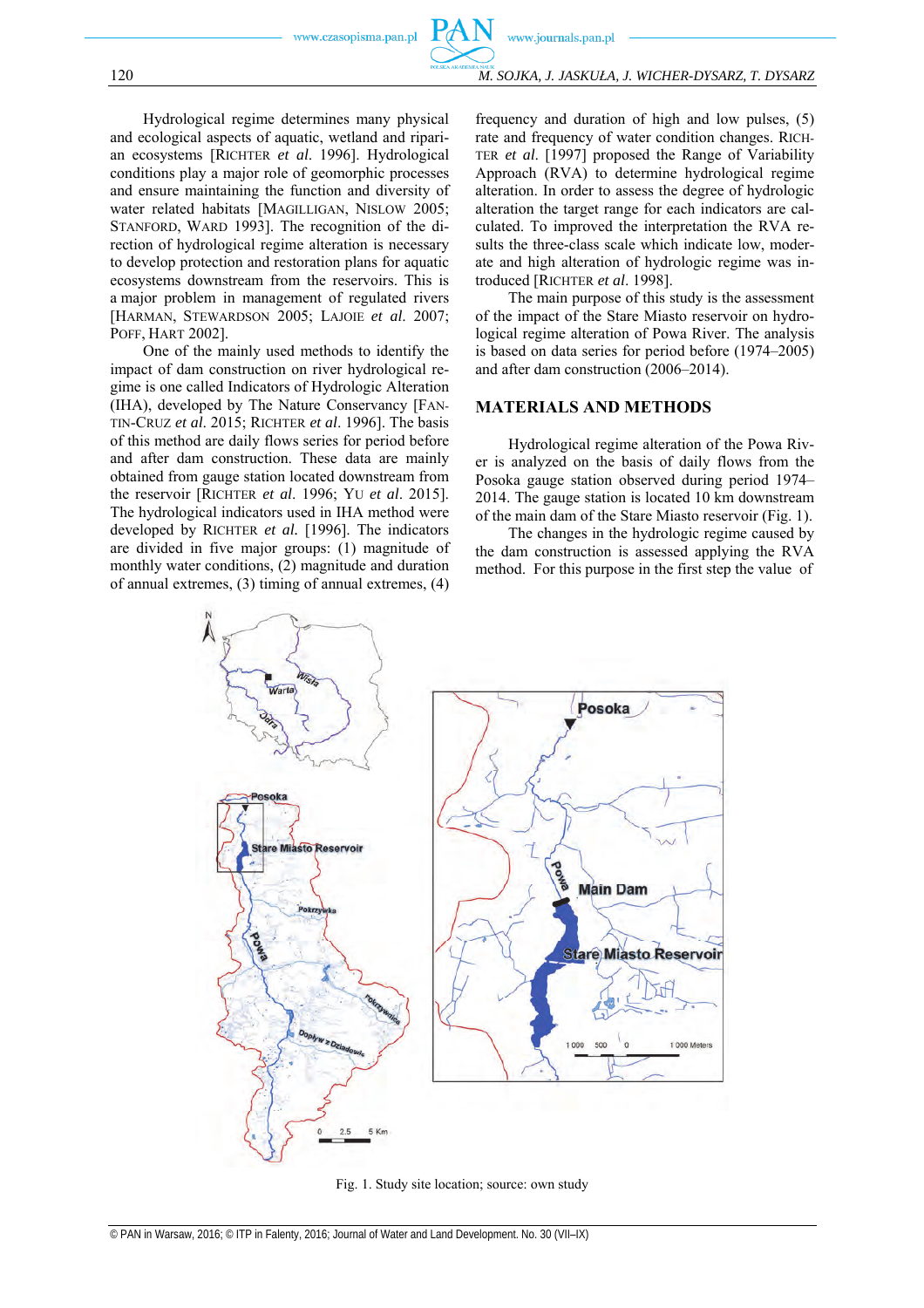www.journals.pan.pl

120 *M. SOJKA, J. JASKUŁA, J. WICHER-DYSARZ, T. DYSARZ*

Hydrological regime determines many physical and ecological aspects of aquatic, wetland and riparian ecosystems [RICHTER *et al*. 1996]. Hydrological conditions play a major role of geomorphic processes and ensure maintaining the function and diversity of water related habitats [MAGILLIGAN, NISLOW 2005; STANFORD, WARD 1993]. The recognition of the direction of hydrological regime alteration is necessary to develop protection and restoration plans for aquatic ecosystems downstream from the reservoirs. This is a major problem in management of regulated rivers [HARMAN, STEWARDSON 2005; LAJOIE *et al*. 2007; POFF, HART 2002].

One of the mainly used methods to identify the impact of dam construction on river hydrological regime is one called Indicators of Hydrologic Alteration (IHA), developed by The Nature Conservancy [FAN-TIN-CRUZ *et al*. 2015; RICHTER *et al*. 1996]. The basis of this method are daily flows series for period before and after dam construction. These data are mainly obtained from gauge station located downstream from the reservoir [RICHTER *et al*. 1996; YU *et al*. 2015]. The hydrological indicators used in IHA method were developed by RICHTER *et al.* [1996]. The indicators are divided in five major groups: (1) magnitude of monthly water conditions, (2) magnitude and duration of annual extremes, (3) timing of annual extremes, (4)

frequency and duration of high and low pulses, (5) rate and frequency of water condition changes. RICH-TER *et al*. [1997] proposed the Range of Variability Approach (RVA) to determine hydrological regime alteration. In order to assess the degree of hydrologic alteration the target range for each indicators are calculated. To improved the interpretation the RVA results the three-class scale which indicate low, moderate and high alteration of hydrologic regime was introduced [RICHTER *et al*. 1998].

The main purpose of this study is the assessment of the impact of the Stare Miasto reservoir on hydrological regime alteration of Powa River. The analysis is based on data series for period before (1974–2005) and after dam construction (2006–2014).

## **MATERIALS AND METHODS**

Hydrological regime alteration of the Powa River is analyzed on the basis of daily flows from the Posoka gauge station observed during period 1974– 2014. The gauge station is located 10 km downstream of the main dam of the Stare Miasto reservoir (Fig. 1).

The changes in the hydrologic regime caused by the dam construction is assessed applying the RVA method. For this purpose in the first step the value of



Fig. 1. Study site location; source: own study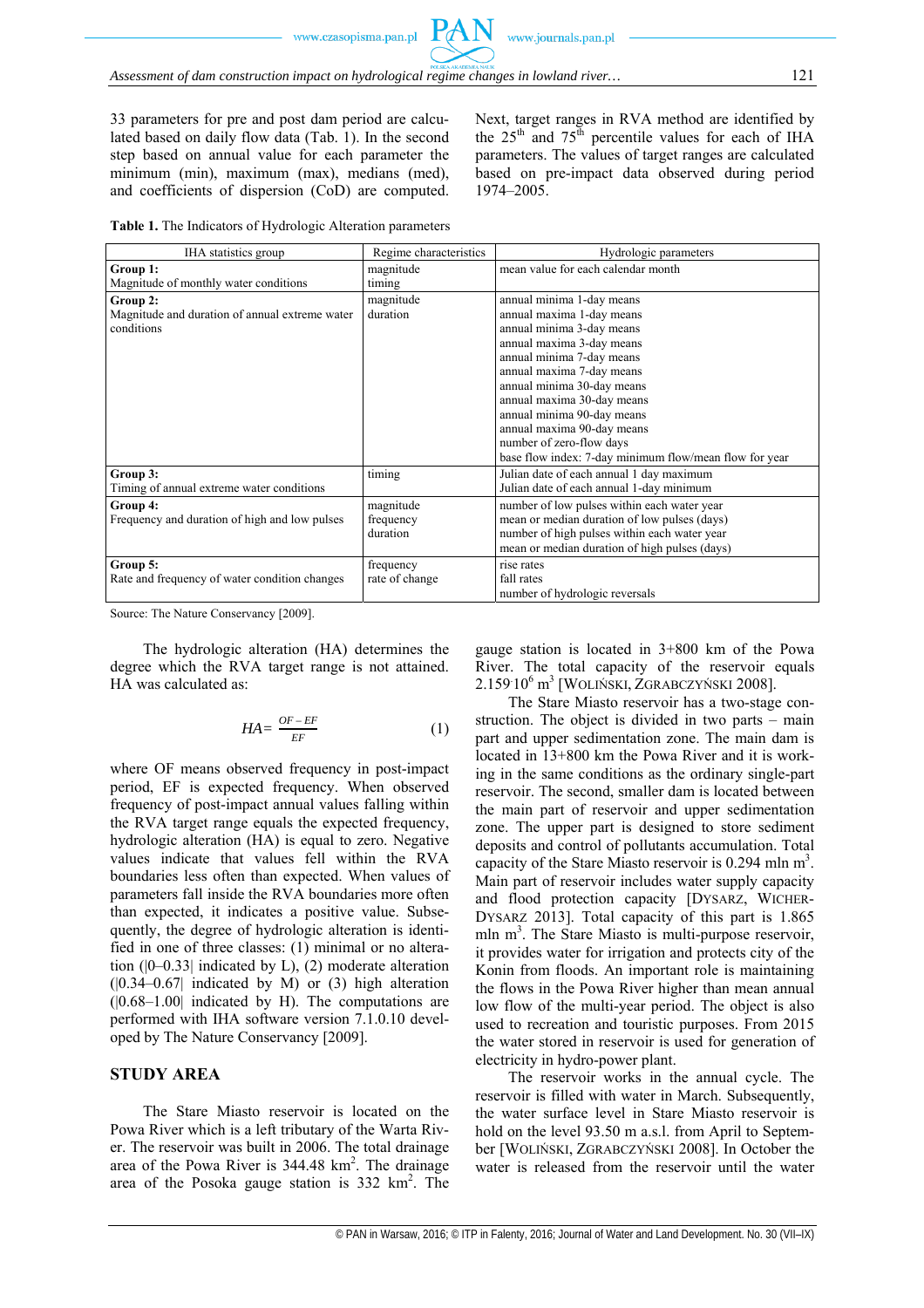33 parameters for pre and post dam period are calculated based on daily flow data (Tab. 1). In the second step based on annual value for each parameter the minimum (min), maximum (max), medians (med), and coefficients of dispersion (CoD) are computed. Next, target ranges in RVA method are identified by the  $25<sup>th</sup>$  and  $75<sup>th</sup>$  percentile values for each of IHA parameters. The values of target ranges are calculated based on pre-impact data observed during period 1974–2005.

**Table 1.** The Indicators of Hydrologic Alteration parameters

| IHA statistics group                           | Regime characteristics | Hydrologic parameters                                  |  |  |  |  |
|------------------------------------------------|------------------------|--------------------------------------------------------|--|--|--|--|
| Group 1:                                       | magnitude              | mean value for each calendar month                     |  |  |  |  |
| Magnitude of monthly water conditions          | timing                 |                                                        |  |  |  |  |
| Group 2:                                       | magnitude              | annual minima 1-day means                              |  |  |  |  |
| Magnitude and duration of annual extreme water | duration               | annual maxima 1-day means                              |  |  |  |  |
| conditions                                     |                        | annual minima 3-day means                              |  |  |  |  |
|                                                |                        | annual maxima 3-day means                              |  |  |  |  |
|                                                |                        | annual minima 7-day means                              |  |  |  |  |
|                                                |                        | annual maxima 7-day means                              |  |  |  |  |
|                                                |                        | annual minima 30-day means                             |  |  |  |  |
|                                                |                        | annual maxima 30-day means                             |  |  |  |  |
|                                                |                        | annual minima 90-day means                             |  |  |  |  |
|                                                |                        | annual maxima 90-day means                             |  |  |  |  |
|                                                |                        | number of zero-flow days                               |  |  |  |  |
|                                                |                        | base flow index: 7-day minimum flow/mean flow for year |  |  |  |  |
| Group 3:                                       | timing                 | Julian date of each annual 1 day maximum               |  |  |  |  |
| Timing of annual extreme water conditions      |                        | Julian date of each annual 1-day minimum               |  |  |  |  |
| Group 4:                                       | magnitude              | number of low pulses within each water year            |  |  |  |  |
| Frequency and duration of high and low pulses  | frequency              | mean or median duration of low pulses (days)           |  |  |  |  |
|                                                | duration               | number of high pulses within each water year           |  |  |  |  |
|                                                |                        | mean or median duration of high pulses (days)          |  |  |  |  |
| Group 5:                                       | frequency              | rise rates                                             |  |  |  |  |
| Rate and frequency of water condition changes  | rate of change         | fall rates                                             |  |  |  |  |
|                                                |                        | number of hydrologic reversals                         |  |  |  |  |

Source: The Nature Conservancy [2009].

The hydrologic alteration (HA) determines the degree which the RVA target range is not attained. HA was calculated as:

$$
HA = \frac{OF - EF}{EF} \tag{1}
$$

where OF means observed frequency in post-impact period, EF is expected frequency. When observed frequency of post-impact annual values falling within the RVA target range equals the expected frequency, hydrologic alteration (HA) is equal to zero. Negative values indicate that values fell within the RVA boundaries less often than expected. When values of parameters fall inside the RVA boundaries more often than expected, it indicates a positive value. Subsequently, the degree of hydrologic alteration is identified in one of three classes: (1) minimal or no alteration (|0–0.33| indicated by L), (2) moderate alteration  $(0.34-0.67)$  indicated by M) or (3) high alteration  $(0.68-1.00)$  indicated by H). The computations are performed with IHA software version 7.1.0.10 developed by The Nature Conservancy [2009].

#### **STUDY AREA**

The Stare Miasto reservoir is located on the Powa River which is a left tributary of the Warta River. The reservoir was built in 2006. The total drainage area of the Powa River is  $344.48 \text{ km}^2$ . The drainage area of the Posoka gauge station is  $332 \text{ km}^2$ . The gauge station is located in 3+800 km of the Powa River. The total capacity of the reservoir equals 2.159. 10<sup>6</sup> m3 [WOLIŃSKI, ZGRABCZYŃSKI 2008].

The Stare Miasto reservoir has a two-stage construction. The object is divided in two parts – main part and upper sedimentation zone. The main dam is located in 13+800 km the Powa River and it is working in the same conditions as the ordinary single-part reservoir. The second, smaller dam is located between the main part of reservoir and upper sedimentation zone. The upper part is designed to store sediment deposits and control of pollutants accumulation. Total capacity of the Stare Miasto reservoir is  $0.294$  mln m<sup>3</sup>. Main part of reservoir includes water supply capacity and flood protection capacity [DYSARZ, WICHER-DYSARZ 2013]. Total capacity of this part is 1.865 mln m<sup>3</sup>. The Stare Miasto is multi-purpose reservoir, it provides water for irrigation and protects city of the Konin from floods. An important role is maintaining the flows in the Powa River higher than mean annual low flow of the multi-year period. The object is also used to recreation and touristic purposes. From 2015 the water stored in reservoir is used for generation of electricity in hydro-power plant.

The reservoir works in the annual cycle. The reservoir is filled with water in March. Subsequently, the water surface level in Stare Miasto reservoir is hold on the level 93.50 m a.s.l. from April to September [WOLIŃSKI, ZGRABCZYŃSKI 2008]. In October the water is released from the reservoir until the water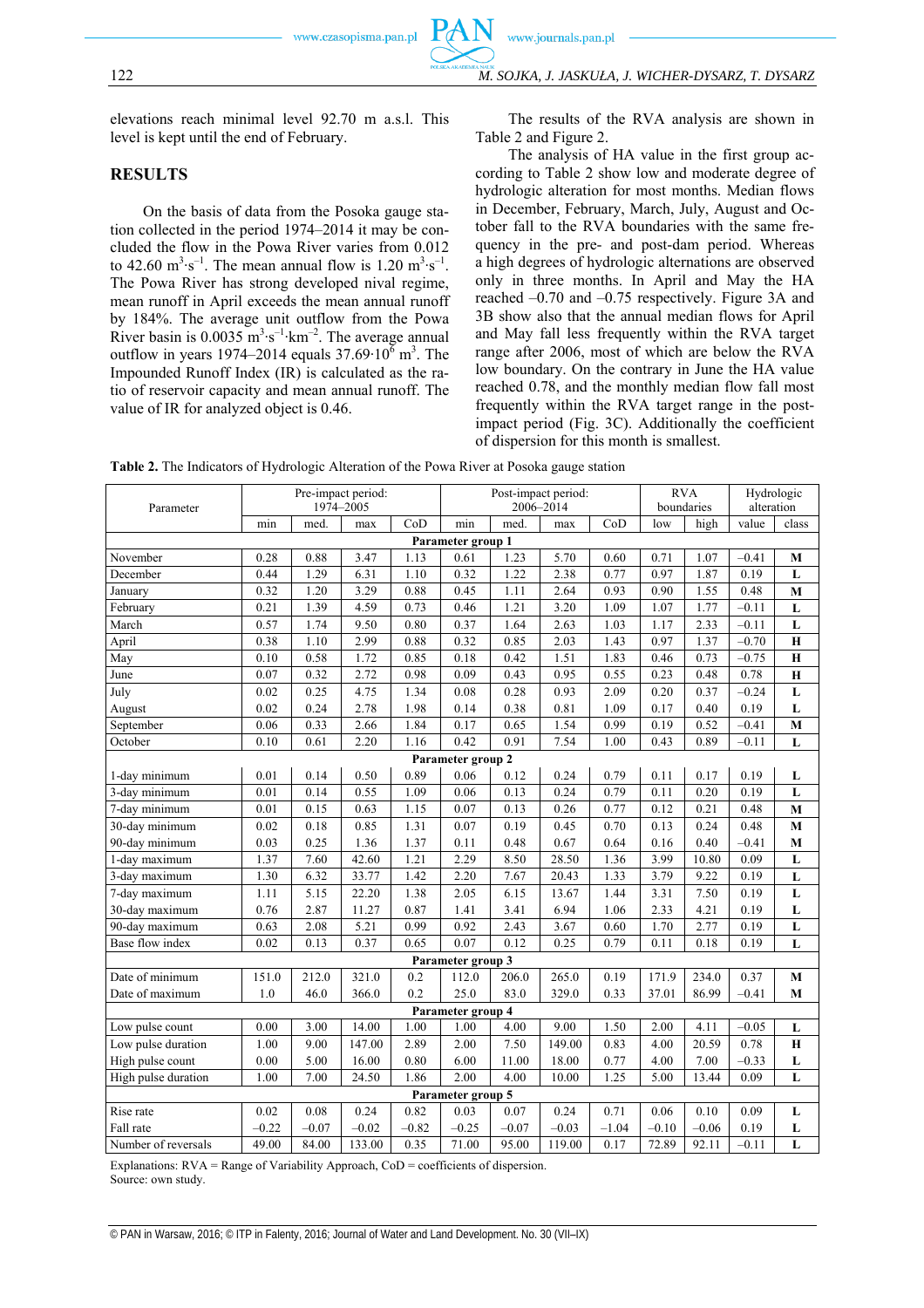elevations reach minimal level 92.70 m a.s.l. This level is kept until the end of February.

# **RESULTS**

On the basis of data from the Posoka gauge station collected in the period 1974–2014 it may be concluded the flow in the Powa River varies from 0.012 to 42.60 m<sup>3</sup>⋅s<sup>-1</sup>. The mean annual flow is 1.20 m<sup>3</sup>⋅s<sup>-1</sup>. The Powa River has strong developed nival regime, mean runoff in April exceeds the mean annual runoff by 184%. The average unit outflow from the Powa River basin is  $0.0035 \text{ m}^3 \cdot \text{s}^{-1} \cdot \text{km}^{-2}$ . The average annual outflow in years 1974–2014 equals  $37.69 \cdot 10^6$  m<sup>3</sup>. The Impounded Runoff Index (IR) is calculated as the ratio of reservoir capacity and mean annual runoff. The value of IR for analyzed object is 0.46.

The results of the RVA analysis are shown in Table 2 and Figure 2.

The analysis of HA value in the first group according to Table 2 show low and moderate degree of hydrologic alteration for most months. Median flows in December, February, March, July, August and October fall to the RVA boundaries with the same frequency in the pre- and post-dam period. Whereas a high degrees of hydrologic alternations are observed only in three months. In April and May the HA reached –0.70 and –0.75 respectively. Figure 3A and 3B show also that the annual median flows for April and May fall less frequently within the RVA target range after 2006, most of which are below the RVA low boundary. On the contrary in June the HA value reached 0.78, and the monthly median flow fall most frequently within the RVA target range in the postimpact period (Fig. 3C). Additionally the coefficient of dispersion for this month is smallest.

| Parameter           | Pre-impact period:<br>1974-2005 |         |         | Post-impact period:<br>2006-2014 |                   |         |         | <b>RVA</b><br>boundaries |         | Hydrologic<br>alteration |         |                         |
|---------------------|---------------------------------|---------|---------|----------------------------------|-------------------|---------|---------|--------------------------|---------|--------------------------|---------|-------------------------|
|                     | min                             | med.    | max     | CoD                              | min               | med.    | max     | CoD                      | low     | high                     | value   | class                   |
| Parameter group 1   |                                 |         |         |                                  |                   |         |         |                          |         |                          |         |                         |
| November            | 0.28                            | 0.88    | 3.47    | 1.13                             | 0.61              | 1.23    | 5.70    | 0.60                     | 0.71    | 1.07                     | $-0.41$ | M                       |
| December            | 0.44                            | 1.29    | 6.31    | 1.10                             | 0.32              | 1.22    | 2.38    | 0.77                     | 0.97    | 1.87                     | 0.19    | L                       |
| January             | 0.32                            | 1.20    | 3.29    | 0.88                             | 0.45              | 1.11    | 2.64    | 0.93                     | 0.90    | 1.55                     | 0.48    | M                       |
| February            | 0.21                            | 1.39    | 4.59    | 0.73                             | 0.46              | 1.21    | 3.20    | 1.09                     | 1.07    | 1.77                     | $-0.11$ | L                       |
| March               | 0.57                            | 1.74    | 9.50    | 0.80                             | 0.37              | 1.64    | 2.63    | 1.03                     | 1.17    | 2.33                     | $-0.11$ | $\overline{\mathbf{L}}$ |
| April               | 0.38                            | 1.10    | 2.99    | 0.88                             | 0.32              | 0.85    | 2.03    | 1.43                     | 0.97    | 1.37                     | $-0.70$ | $\mathbf H$             |
| May                 | 0.10                            | 0.58    | 1.72    | 0.85                             | 0.18              | 0.42    | 1.51    | 1.83                     | 0.46    | 0.73                     | $-0.75$ | H                       |
| June                | 0.07                            | 0.32    | 2.72    | 0.98                             | 0.09              | 0.43    | 0.95    | 0.55                     | 0.23    | 0.48                     | 0.78    | $\bf H$                 |
| July                | 0.02                            | 0.25    | 4.75    | 1.34                             | 0.08              | 0.28    | 0.93    | 2.09                     | 0.20    | 0.37                     | $-0.24$ | L                       |
| August              | 0.02                            | 0.24    | 2.78    | 1.98                             | 0.14              | 0.38    | 0.81    | 1.09                     | 0.17    | 0.40                     | 0.19    | L                       |
| September           | 0.06                            | 0.33    | 2.66    | 1.84                             | 0.17              | 0.65    | 1.54    | 0.99                     | 0.19    | 0.52                     | $-0.41$ | M                       |
| October             | 0.10                            | 0.61    | 2.20    | 1.16                             | 0.42              | 0.91    | 7.54    | 1.00                     | 0.43    | 0.89                     | $-0.11$ | L                       |
|                     |                                 |         |         |                                  | Parameter group 2 |         |         |                          |         |                          |         |                         |
| 1-day minimum       | 0.01                            | 0.14    | 0.50    | 0.89                             | 0.06              | 0.12    | 0.24    | 0.79                     | 0.11    | 0.17                     | 0.19    | L                       |
| 3-day minimum       | 0.01                            | 0.14    | 0.55    | 1.09                             | 0.06              | 0.13    | 0.24    | 0.79                     | 0.11    | 0.20                     | 0.19    | L                       |
| 7-day minimum       | 0.01                            | 0.15    | 0.63    | 1.15                             | 0.07              | 0.13    | 0.26    | 0.77                     | 0.12    | 0.21                     | 0.48    | $\mathbf{M}$            |
| 30-day minimum      | 0.02                            | 0.18    | 0.85    | 1.31                             | 0.07              | 0.19    | 0.45    | 0.70                     | 0.13    | 0.24                     | 0.48    | M                       |
| 90-day minimum      | 0.03                            | 0.25    | 1.36    | 1.37                             | 0.11              | 0.48    | 0.67    | 0.64                     | 0.16    | 0.40                     | $-0.41$ | $\mathbf M$             |
| 1-day maximum       | 1.37                            | 7.60    | 42.60   | 1.21                             | 2.29              | 8.50    | 28.50   | 1.36                     | 3.99    | 10.80                    | 0.09    | L                       |
| 3-day maximum       | 1.30                            | 6.32    | 33.77   | 1.42                             | 2.20              | 7.67    | 20.43   | 1.33                     | 3.79    | 9.22                     | 0.19    | L                       |
| 7-day maximum       | 1.11                            | 5.15    | 22.20   | 1.38                             | 2.05              | 6.15    | 13.67   | 1.44                     | 3.31    | 7.50                     | 0.19    | L                       |
| 30-day maximum      | 0.76                            | 2.87    | 11.27   | 0.87                             | 1.41              | 3.41    | 6.94    | 1.06                     | 2.33    | 4.21                     | 0.19    | L                       |
| 90-day maximum      | 0.63                            | 2.08    | 5.21    | 0.99                             | 0.92              | 2.43    | 3.67    | 0.60                     | 1.70    | 2.77                     | 0.19    | L                       |
| Base flow index     | 0.02                            | 0.13    | 0.37    | 0.65                             | 0.07              | 0.12    | 0.25    | 0.79                     | 0.11    | 0.18                     | 0.19    | L                       |
| Parameter group 3   |                                 |         |         |                                  |                   |         |         |                          |         |                          |         |                         |
| Date of minimum     | 151.0                           | 212.0   | 321.0   | 0.2                              | 112.0             | 206.0   | 265.0   | 0.19                     | 171.9   | 234.0                    | 0.37    | M                       |
| Date of maximum     | 1.0                             | 46.0    | 366.0   | 0.2                              | 25.0              | 83.0    | 329.0   | 0.33                     | 37.01   | 86.99                    | $-0.41$ | M                       |
|                     |                                 |         |         |                                  | Parameter group 4 |         |         |                          |         |                          |         |                         |
| Low pulse count     | 0.00                            | 3.00    | 14.00   | 1.00                             | 1.00              | 4.00    | 9.00    | 1.50                     | 2.00    | 4.11                     | $-0.05$ | L                       |
| Low pulse duration  | 1.00                            | 9.00    | 147.00  | 2.89                             | 2.00              | 7.50    | 149.00  | 0.83                     | 4.00    | 20.59                    | 0.78    | $\mathbf H$             |
| High pulse count    | 0.00                            | 5.00    | 16.00   | 0.80                             | 6.00              | 11.00   | 18.00   | 0.77                     | 4.00    | 7.00                     | $-0.33$ | L                       |
| High pulse duration | 1.00                            | 7.00    | 24.50   | 1.86                             | 2.00              | 4.00    | 10.00   | 1.25                     | 5.00    | 13.44                    | 0.09    | L                       |
| Parameter group 5   |                                 |         |         |                                  |                   |         |         |                          |         |                          |         |                         |
| Rise rate           | 0.02                            | 0.08    | 0.24    | 0.82                             | 0.03              | 0.07    | 0.24    | 0.71                     | 0.06    | 0.10                     | 0.09    | L                       |
| Fall rate           | $-0.22$                         | $-0.07$ | $-0.02$ | $-0.82$                          | $-0.25$           | $-0.07$ | $-0.03$ | $-1.04$                  | $-0.10$ | $-0.06$                  | 0.19    | L                       |
| Number of reversals | 49.00                           | 84.00   | 133.00  | 0.35                             | 71.00             | 95.00   | 119.00  | 0.17                     | 72.89   | 92.11                    | $-0.11$ | L                       |

**Table 2.** The Indicators of Hydrologic Alteration of the Powa River at Posoka gauge station

Explanations: RVA = Range of Variability Approach, CoD = coefficients of dispersion. Source: own study.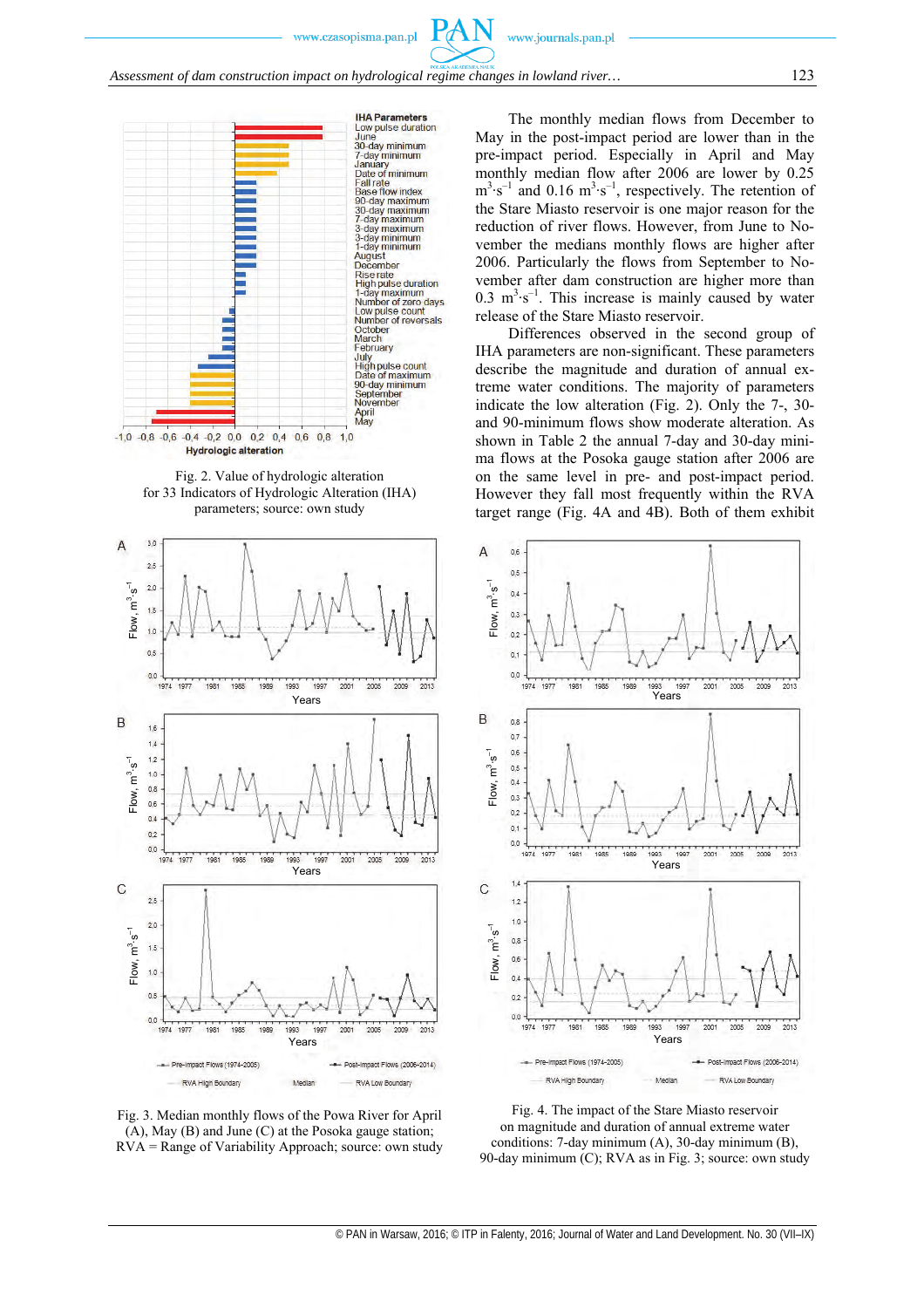PAN







Fig. 3. Median monthly flows of the Powa River for April (A), May (B) and June (C) at the Posoka gauge station; RVA = Range of Variability Approach; source: own study

The monthly median flows from December to May in the post-impact period are lower than in the pre-impact period. Especially in April and May monthly median flow after 2006 are lower by 0.25  $m^3$ ⋅s<sup>-1</sup> and 0.16  $m^3$ ⋅s<sup>-1</sup>, respectively. The retention of the Stare Miasto reservoir is one major reason for the reduction of river flows. However, from June to November the medians monthly flows are higher after 2006. Particularly the flows from September to November after dam construction are higher more than 0.3  $m^3 \cdot s^{-1}$ . This increase is mainly caused by water release of the Stare Miasto reservoir.

Differences observed in the second group of IHA parameters are non-significant. These parameters describe the magnitude and duration of annual extreme water conditions. The majority of parameters indicate the low alteration (Fig. 2). Only the 7-, 30 and 90-minimum flows show moderate alteration. As shown in Table 2 the annual 7-day and 30-day minima flows at the Posoka gauge station after 2006 are on the same level in pre- and post-impact period. However they fall most frequently within the RVA target range (Fig. 4A and 4B). Both of them exhibit



Fig. 4. The impact of the Stare Miasto reservoir on magnitude and duration of annual extreme water conditions: 7-day minimum (A), 30-day minimum (B), 90-day minimum (C); RVA as in Fig. 3; source: own study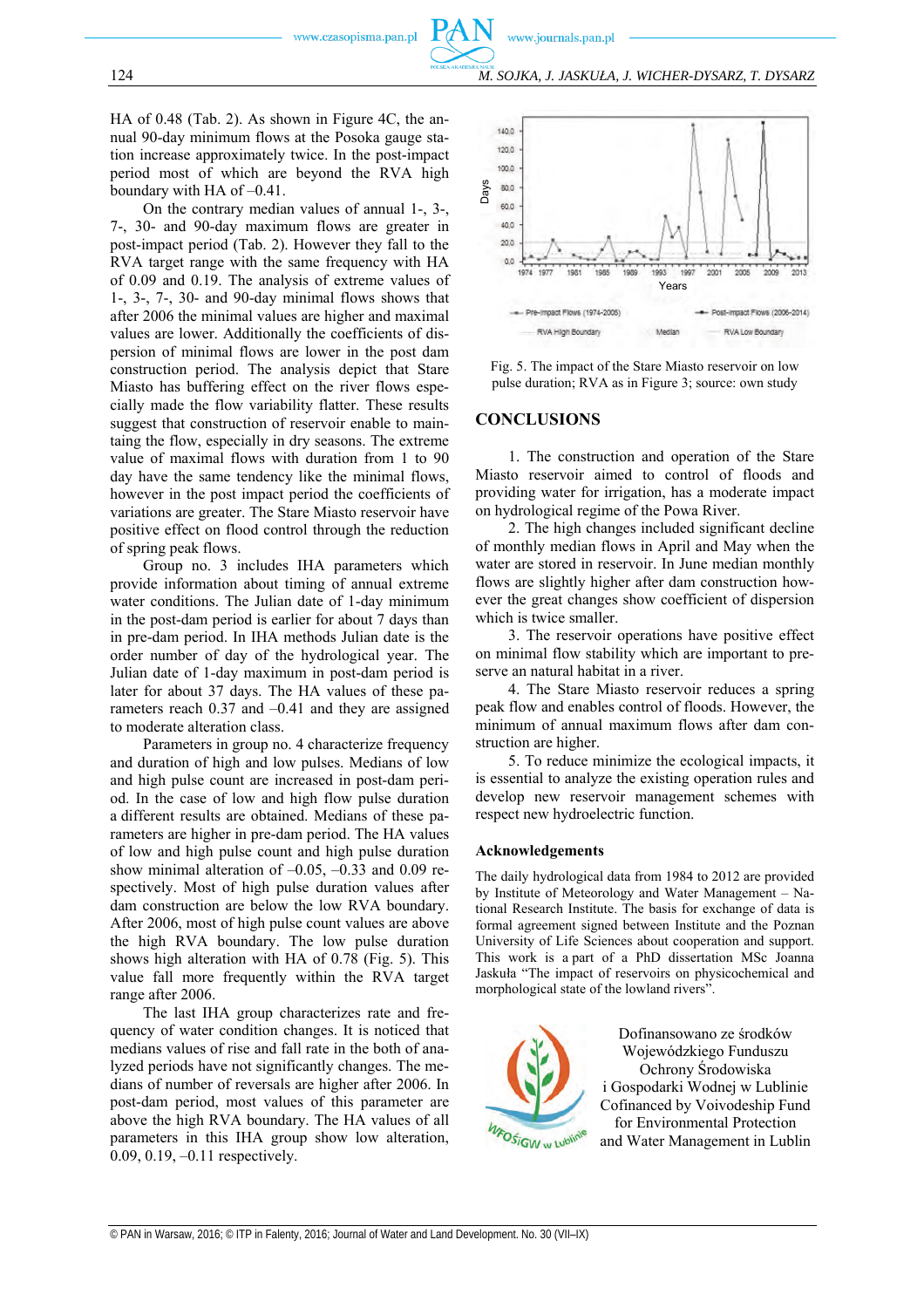124 *M. SOJKA, J. JASKUŁA, J. WICHER-DYSARZ, T. DYSARZ*

HA of 0.48 (Tab. 2). As shown in Figure 4C, the annual 90-day minimum flows at the Posoka gauge station increase approximately twice. In the post-impact period most of which are beyond the RVA high boundary with HA of –0.41.

On the contrary median values of annual 1-, 3-, 7-, 30- and 90-day maximum flows are greater in post-impact period (Tab. 2). However they fall to the RVA target range with the same frequency with HA of 0.09 and 0.19. The analysis of extreme values of 1-, 3-, 7-, 30- and 90-day minimal flows shows that after 2006 the minimal values are higher and maximal values are lower. Additionally the coefficients of dispersion of minimal flows are lower in the post dam construction period. The analysis depict that Stare Miasto has buffering effect on the river flows especially made the flow variability flatter. These results suggest that construction of reservoir enable to maintaing the flow, especially in dry seasons. The extreme value of maximal flows with duration from 1 to 90 day have the same tendency like the minimal flows, however in the post impact period the coefficients of variations are greater. The Stare Miasto reservoir have positive effect on flood control through the reduction of spring peak flows.

Group no. 3 includes IHA parameters which provide information about timing of annual extreme water conditions. The Julian date of 1-day minimum in the post-dam period is earlier for about 7 days than in pre-dam period. In IHA methods Julian date is the order number of day of the hydrological year. The Julian date of 1-day maximum in post-dam period is later for about 37 days. The HA values of these parameters reach 0.37 and –0.41 and they are assigned to moderate alteration class.

Parameters in group no. 4 characterize frequency and duration of high and low pulses. Medians of low and high pulse count are increased in post-dam period. In the case of low and high flow pulse duration a different results are obtained. Medians of these parameters are higher in pre-dam period. The HA values of low and high pulse count and high pulse duration show minimal alteration of  $-0.05$ ,  $-0.33$  and 0.09 respectively. Most of high pulse duration values after dam construction are below the low RVA boundary. After 2006, most of high pulse count values are above the high RVA boundary. The low pulse duration shows high alteration with HA of 0.78 (Fig. 5). This value fall more frequently within the RVA target range after 2006.

The last IHA group characterizes rate and frequency of water condition changes. It is noticed that medians values of rise and fall rate in the both of analyzed periods have not significantly changes. The medians of number of reversals are higher after 2006. In post-dam period, most values of this parameter are above the high RVA boundary. The HA values of all parameters in this IHA group show low alteration, 0.09, 0.19, –0.11 respectively.



Fig. 5. The impact of the Stare Miasto reservoir on low pulse duration; RVA as in Figure 3; source: own study

#### **CONCLUSIONS**

www.journals.pan.pl

1. The construction and operation of the Stare Miasto reservoir aimed to control of floods and providing water for irrigation, has a moderate impact on hydrological regime of the Powa River.

2. The high changes included significant decline of monthly median flows in April and May when the water are stored in reservoir. In June median monthly flows are slightly higher after dam construction however the great changes show coefficient of dispersion which is twice smaller.

3. The reservoir operations have positive effect on minimal flow stability which are important to preserve an natural habitat in a river.

4. The Stare Miasto reservoir reduces a spring peak flow and enables control of floods. However, the minimum of annual maximum flows after dam construction are higher.

5. To reduce minimize the ecological impacts, it is essential to analyze the existing operation rules and develop new reservoir management schemes with respect new hydroelectric function.

#### **Acknowledgements**

The daily hydrological data from 1984 to 2012 are provided by Institute of Meteorology and Water Management – National Research Institute. The basis for exchange of data is formal agreement signed between Institute and the Poznan University of Life Sciences about cooperation and support. This work is a part of a PhD dissertation MSc Joanna Jaskuła "The impact of reservoirs on physicochemical and morphological state of the lowland rivers".



Dofinansowano ze środków Wojewódzkiego Funduszu Ochrony Środowiska i Gospodarki Wodnej w Lublinie Cofinanced by Voivodeship Fund for Environmental Protection and Water Management in Lublin